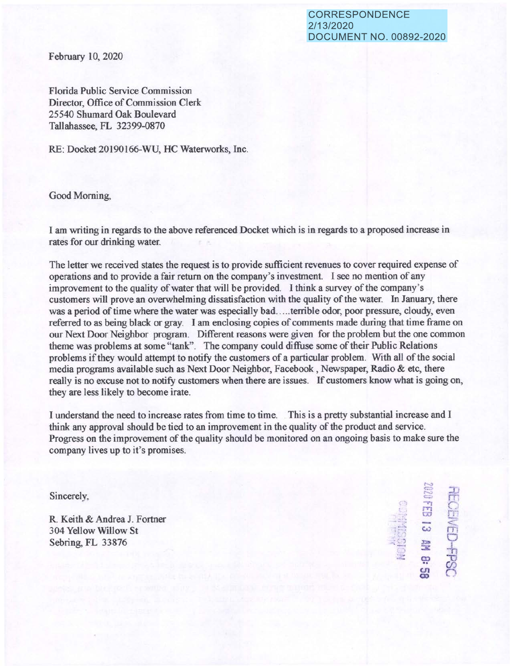CORRESPONDENCE 2/13/2020 DOCUMENT NO. 00892-2020

February 10, 2020

Florida Public Service Commission Director, Office of Commission Clerk 25540 Shumard Oak Boulevard Tallahassee, FL 32399-0870

RE: Docket 20190166-WU, HC Waterworks, Inc.

Good Morning,

I am writing in regards to the above referenced Docket which is in regards to a proposed increase in rates for our drinking water.

The letter we received states the request is to provide sufficient revenues to cover required expense of operations and to provide a fair return on the company's investment. I see no mention of any improvement to the quality of water that will be provided. I think a survey of the company's customers will prove an overwhelming dissatisfaction with the quality of the water. In January, there was a period of time where the water was especially bad ..... terrible odor, poor pressure, cloudy, even referred to as being black or gray. I am enclosing copies of comments made during that time frame on our Next Door Neighbor program. Different reasons were given for the problem but the one common theme was problems at some "tank". The company could diffuse some of their Public Relations problems if they would attempt to notify the customers of a particular problem. With all of the social media programs available such as Next Door Neighbor, Facebook, Newspaper, Radio & etc, there really is no excuse not to notify customers when there are issues. 1f customers know what is going on, they are less likely to become irate.

I understand the need to increase rates from time to time. This is a pretty substantial increase and I think any approval should be tied to an improvement in the quality of the product and service. Progress on the improvement of the quality should be monitored on an ongoing basis to make sure the company lives up to it's promises.

R. Keith & Andrea J. Fortner 304 Yellow Willow St  $\overline{ }$   $\overline{ }$   $\overline{ }$   $\overline{ }$   $\overline{ }$   $\overline{ }$   $\overline{ }$   $\overline{ }$   $\overline{ }$   $\overline{ }$   $\overline{ }$   $\overline{ }$   $\overline{ }$   $\overline{ }$   $\overline{ }$   $\overline{ }$   $\overline{ }$   $\overline{ }$   $\overline{ }$   $\overline{ }$   $\overline{ }$   $\overline{ }$   $\overline{ }$   $\overline{ }$   $\overline{ }$ 

 $\mathbb{S}$  $Sineerely,$ c-..::: 'l -r, **<sup>f</sup>'T'I** n:.  $\frac{1}{2}$  .  $\frac{1}{2}$  .  $\frac{1}{2}$ **:E** -h ~ -0  $\frac{25}{10}$   $\frac{25}{10}$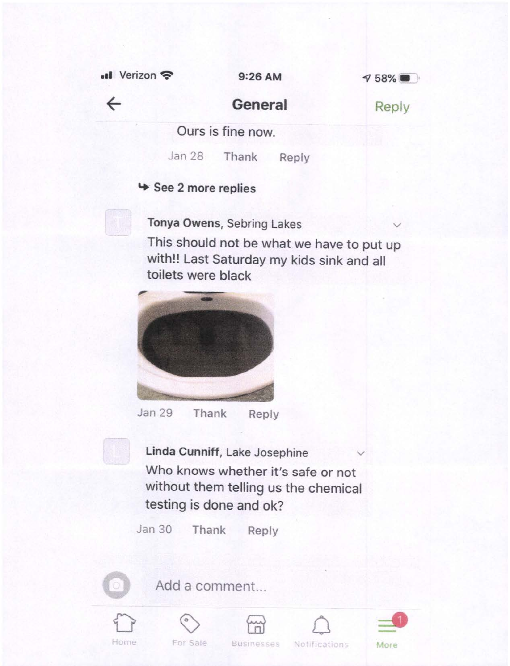**.11** Verizon? 9:26 AM



 $\leftarrow$ 

### **General**

Reply

Ours is fine now.

Jan 28 Thank Reply

#### '+ See 2 more replies

**Tonya Owens, Sebring Lakes** 

This should not be what we have to put up with!! Last Saturday my kids sink and all toilets were black



Jan 29 Thank Reply

**Linda Cunniff, Lake Josephine** Who knows whether it's safe or not without them telling us the chemical testing is done and ok?

Jan 30 Thank Reply



Add a comment...









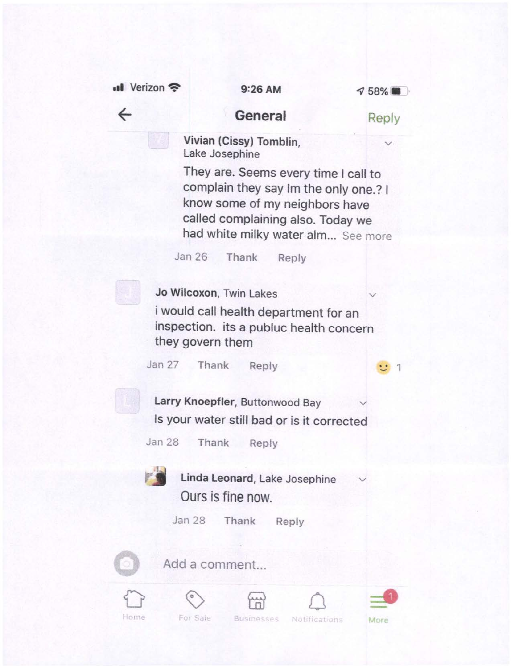$\cdot$ II Verizon  $\approx$  9:26 AM

 $\leftarrow$ 



#### **General**

Reply

**Vivian (Cissy) Tomblin,** Lake Josephine

They are. Seems every time I call to complain they say Im the only one.? I know some of my neighbors have called complaining also. Today we had white milky water alm... See more

Jan 26 Thank Reply

**Jo Wilcoxon, Twin Lakes** 

<sup>i</sup>would call health department for an inspection. its a publuc health concern they govern them

Jan 27 Thank Reply **1 1** 

Larry Knoepfler, Buttonwood Bay Is your water still bad or is it corrected

Jan 28 Thank Reply



Linda Leonard, Lake Josephine Ours is fine now.

Jan 28 Thank Reply



Add a comment...











For Sale

Businesses Notifications More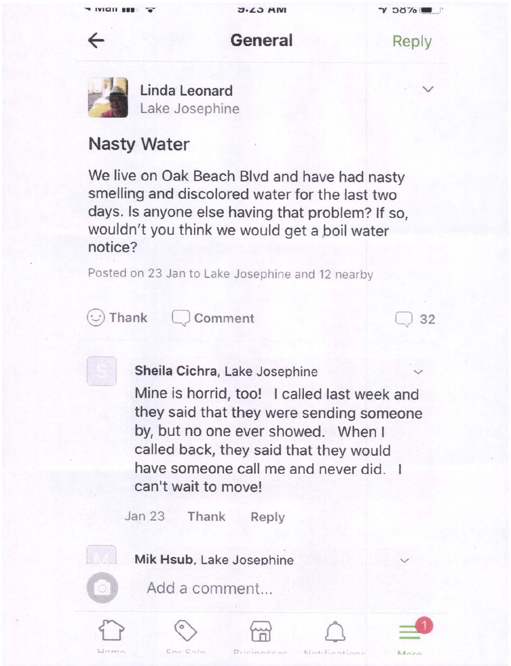## **General**

Reply

. **V** 

32



 $\leftarrow$ 

**Linda Leonard**  Lake Josephine

# **Nasty Water**

We live on Oak Beach Blvd and have had nasty smelling and discolored water for the last two days. Is anyone else having that problem? If so, wouldn't you think we would get a boil water notice?

Posted on 23 Jan to Lake Josephine and 12 nearby



Thank  $\bigcup$  Comment



**Sheila Cichra, Lake Josephine** 

Mine is horrid, too! I called last week and they said that they were sending someone by, but no one ever showed. When I called back, they said that they would have someone call me and never did. I can't wait to move!

Jan 23 Thank Reply



Mik Hsub, Lake Josephine



Add a comment...









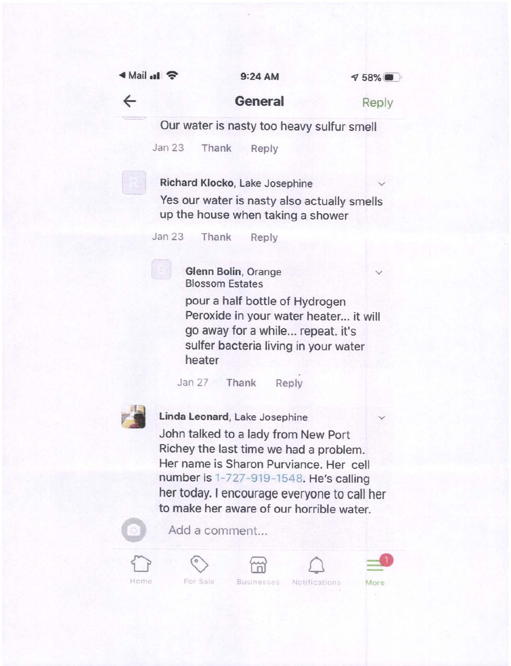<sup>~</sup>Mail **.11** ? 9:24 AM



 $\leftarrow$ 

### **General**

Reply

**V** 

Our water is nasty too heavy sulfur smell

Jan 23 Thank Reply

**Richard Klocko, Lake Josephine** 

Yes our water is nasty also actually smells up the house when taking a shower

Jan 23 Thank Reply

**Glenn Bolin,** Orange Blossom Estates

pour a half bottle of Hydrogen Peroxide in your water heater... it will go away for a while... repeat. it's sulfer bacteria living in your water heater

Jan 27 Thank Reply



**Linda Leonard,** Lake Josephine John talked to a lady from New Port Richey the last time we had a problem. Her name is Sharon Purviance. Her cell number is 1-727-919-1548. He's calling  $\lambda$ her today. I encourage everyone to call her to make her aware of our horrible water.



Add a comment...











**Businesses Notifications More**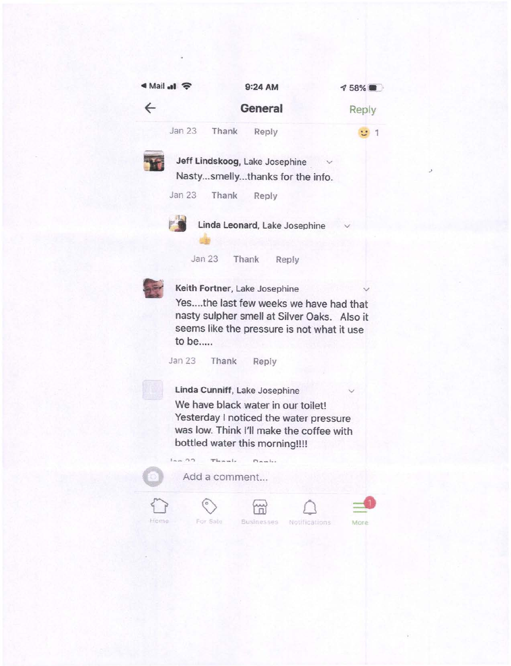| Nail .al <del>€</del> |              | 9:24 AM |                                                                                                                                                                                             | $758\%$ |
|-----------------------|--------------|---------|---------------------------------------------------------------------------------------------------------------------------------------------------------------------------------------------|---------|
| $\leftarrow$          |              |         | General                                                                                                                                                                                     | Reply   |
|                       | Jan 23       | Thank   | Reply                                                                                                                                                                                       |         |
|                       | Jan 23 Thank |         | Jeff Lindskoog, Lake Josephine<br>Nastysmellythanks for the info.<br>Reply                                                                                                                  |         |
|                       | Jan 23       |         | Linda Leonard, Lake Josephine<br>Thank<br>Reply                                                                                                                                             |         |
|                       | to be        |         | Keith Fortner, Lake Josephine<br>Yesthe last few weeks we have had that<br>nasty sulpher smell at Silver Oaks. Also it<br>seems like the pressure is not what it use                        |         |
|                       | Jan 23 Thank |         | Reply                                                                                                                                                                                       |         |
|                       |              |         | Linda Cunniff, Lake Josephine<br>We have black water in our toilet!<br>Yesterday I noticed the water pressure<br>was low. Think I'll make the coffee with<br>bottled water this morning!!!! |         |

 $I_{nm}$  00 There is nowled Add a comment...  $\bigcirc$  $\circledcirc$  $\begin{picture}(20,20) \put(0,0){\dashbox{0.5}(30,0){ }} \put(15,0){\dashbox{0.5}(30,0){ }} \put(15,0){\dashbox{0.5}(30,0){ }} \put(15,0){\dashbox{0.5}(30,0){ }} \put(15,0){\dashbox{0.5}(30,0){ }} \put(15,0){\dashbox{0.5}(30,0){ }} \put(15,0){\dashbox{0.5}(30,0){ }} \put(15,0){\dashbox{0.5}(30,0){ }} \put(15,0){\dashbox{0.5}(30,0){ }} \put(15,0){\dashbox{$ Home For Sale Businesses Notifications



.,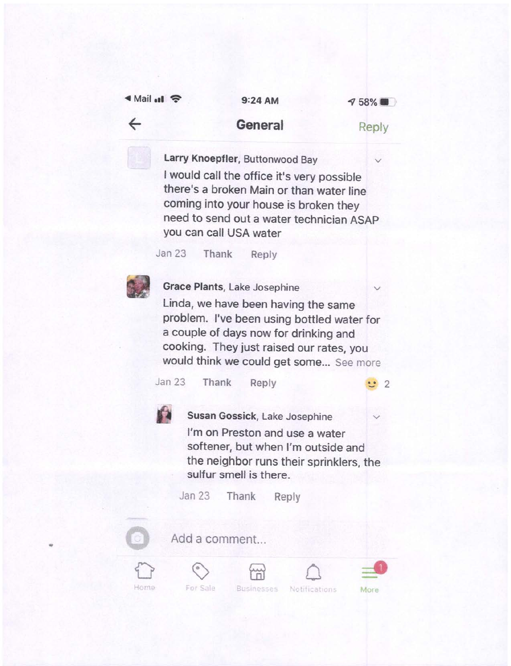| ৰ Mail all <i>হ</i> |  |
|---------------------|--|
|                     |  |

 $\leftarrow$ 

• Mail **ell~ 9:24AM** 

*4v* **58%** • ·

#### **General**

Reply

Larry Knoepfler, Buttonwood Bay I would call the office it's very possible there's a broken Main or than water line coming into your house is broken they need to send out a water technician ASAP you can call USA water

Jan 23 Thank Reply



**Grace Plants, Lake Josephine** Linda, we have been having the same problem. I've been using bottled water for <sup>a</sup>couple of days now for drinking and cooking. They just raised our rates, you would think we could get some... See more Jan 23 Thank Reply  $\ddot{ }$  2 **Susan Gossick, Lake Josephine** I'm on Preston and use a water softener, but when I'm outside and the neighbor runs their sprinklers, the sulfur smell is there. Jan 23 Thank Reply

**0** 

...

Add a comment...